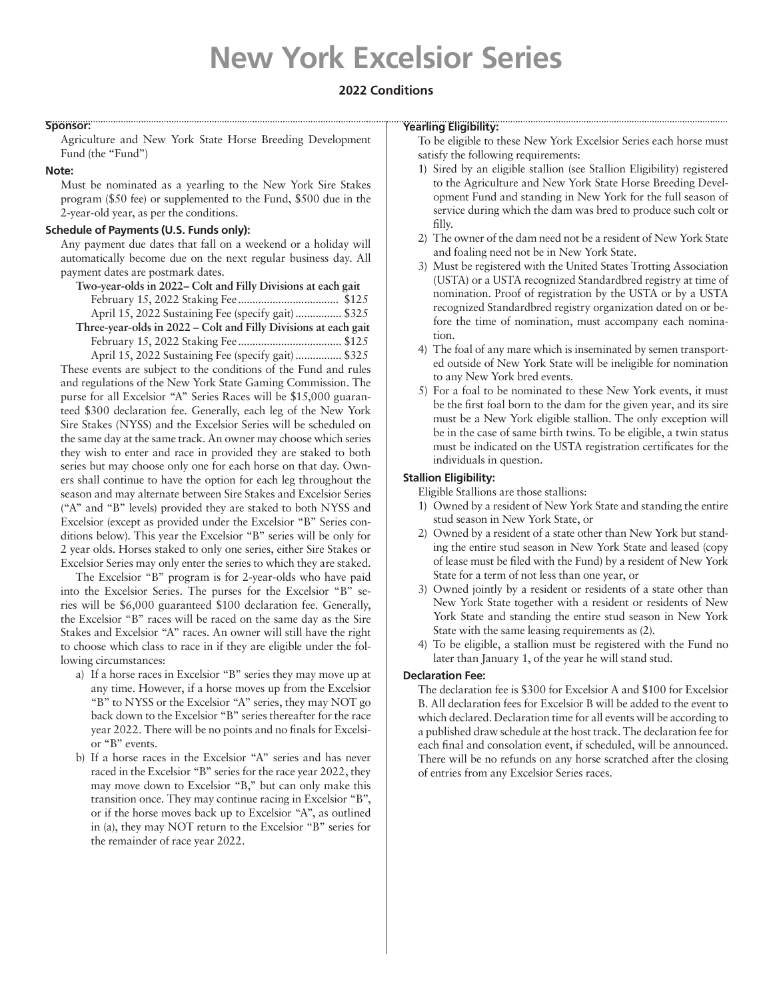# **New York Excelsior Series**

## **2022 Conditions**

#### **Sponsor:**

Agriculture and New York State Horse Breeding Development Fund (the "Fund")

#### **Note:**

Must be nominated as a yearling to the New York Sire Stakes program (\$50 fee) or supplemented to the Fund, \$500 due in the 2-year-old year, as per the conditions.

## **Schedule of Payments (U.S. Funds only):**

Any payment due dates that fall on a weekend or a holiday will automatically become due on the next regular business day. All payment dates are postmark dates.

| Two-year-olds in 2022– Colt and Filly Divisions at each gait    |  |  |  |
|-----------------------------------------------------------------|--|--|--|
|                                                                 |  |  |  |
| April 15, 2022 Sustaining Fee (specify gait)  \$325             |  |  |  |
| Three-year-olds in 2022 – Colt and Filly Divisions at each gait |  |  |  |
|                                                                 |  |  |  |
|                                                                 |  |  |  |

April 15, 2022 Sustaining Fee (specify gait)................ \$325 These events are subject to the conditions of the Fund and rules and regulations of the New York State Gaming Commission. The purse for all Excelsior "A" Series Races will be \$15,000 guaranteed \$300 declaration fee. Generally, each leg of the New York Sire Stakes (NYSS) and the Excelsior Series will be scheduled on the same day at the same track. An owner may choose which series they wish to enter and race in provided they are staked to both series but may choose only one for each horse on that day. Owners shall continue to have the option for each leg throughout the season and may alternate between Sire Stakes and Excelsior Series ("A" and "B" levels) provided they are staked to both NYSS and Excelsior (except as provided under the Excelsior "B" Series conditions below). This year the Excelsior "B" series will be only for 2 year olds. Horses staked to only one series, either Sire Stakes or Excelsior Series may only enter the series to which they are staked.

The Excelsior "B" program is for 2-year-olds who have paid into the Excelsior Series. The purses for the Excelsior "B" series will be \$6,000 guaranteed \$100 declaration fee. Generally, the Excelsior "B" races will be raced on the same day as the Sire Stakes and Excelsior "A" races. An owner will still have the right to choose which class to race in if they are eligible under the following circumstances:

- a) If a horse races in Excelsior "B" series they may move up at any time. However, if a horse moves up from the Excelsior "B" to NYSS or the Excelsior "A" series, they may NOT go back down to the Excelsior "B" series thereafter for the race year 2022. There will be no points and no finals for Excelsior "B" events.
- b) If a horse races in the Excelsior "A" series and has never raced in the Excelsior "B" series for the race year 2022, they may move down to Excelsior "B," but can only make this transition once. They may continue racing in Excelsior "B", or if the horse moves back up to Excelsior "A", as outlined in (a), they may NOT return to the Excelsior "B" series for the remainder of race year 2022.

## **Yearling Eligibility:**

To be eligible to these New York Excelsior Series each horse must satisfy the following requirements:

- 1) Sired by an eligible stallion (see Stallion Eligibility) registered to the Agriculture and New York State Horse Breeding Development Fund and standing in New York for the full season of service during which the dam was bred to produce such colt or filly.
- 2) The owner of the dam need not be a resident of New York State and foaling need not be in New York State.
- 3) Must be registered with the United States Trotting Association (USTA) or a USTA recognized Standardbred registry at time of nomination. Proof of registration by the USTA or by a USTA recognized Standardbred registry organization dated on or before the time of nomination, must accompany each nomination.
- 4) The foal of any mare which is inseminated by semen transported outside of New York State will be ineligible for nomination to any New York bred events.
- 5) For a foal to be nominated to these New York events, it must be the first foal born to the dam for the given year, and its sire must be a New York eligible stallion. The only exception will be in the case of same birth twins. To be eligible, a twin status must be indicated on the USTA registration certificates for the individuals in question.

## **Stallion Eligibility:**

Eligible Stallions are those stallions:

- 1) Owned by a resident of New York State and standing the entire stud season in New York State, or
- 2) Owned by a resident of a state other than New York but standing the entire stud season in New York State and leased (copy of lease must be filed with the Fund) by a resident of New York State for a term of not less than one year, or
- 3) Owned jointly by a resident or residents of a state other than New York State together with a resident or residents of New York State and standing the entire stud season in New York State with the same leasing requirements as (2).
- 4) To be eligible, a stallion must be registered with the Fund no later than January 1, of the year he will stand stud.

## **Declaration Fee:**

The declaration fee is \$300 for Excelsior A and \$100 for Excelsior B. All declaration fees for Excelsior B will be added to the event to which declared. Declaration time for all events will be according to a published draw schedule at the host track. The declaration fee for each final and consolation event, if scheduled, will be announced. There will be no refunds on any horse scratched after the closing of entries from any Excelsior Series races.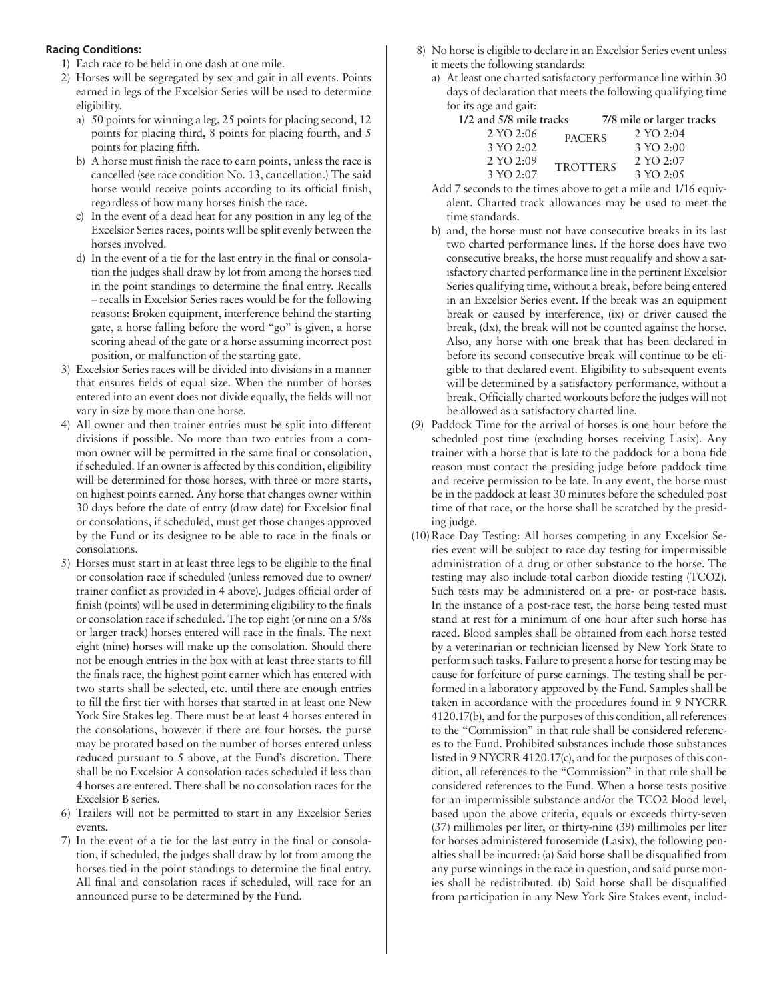## **Racing Conditions:**

- 1) Each race to be held in one dash at one mile.
- 2) Horses will be segregated by sex and gait in all events. Points earned in legs of the Excelsior Series will be used to determine eligibility.
	- a) 50 points for winning a leg, 25 points for placing second, 12 points for placing third, 8 points for placing fourth, and 5 points for placing fifth.
	- b) A horse must finish the race to earn points, unless the race is cancelled (see race condition No. 13, cancellation.) The said horse would receive points according to its official finish, regardless of how many horses finish the race.
	- c) In the event of a dead heat for any position in any leg of the Excelsior Series races, points will be split evenly between the horses involved.
	- d) In the event of a tie for the last entry in the final or consolation the judges shall draw by lot from among the horses tied in the point standings to determine the final entry. Recalls – recalls in Excelsior Series races would be for the following reasons: Broken equipment, interference behind the starting gate, a horse falling before the word "go" is given, a horse scoring ahead of the gate or a horse assuming incorrect post position, or malfunction of the starting gate.
- 3) Excelsior Series races will be divided into divisions in a manner that ensures fields of equal size. When the number of horses entered into an event does not divide equally, the fields will not vary in size by more than one horse.
- 4) All owner and then trainer entries must be split into different divisions if possible. No more than two entries from a common owner will be permitted in the same final or consolation, if scheduled. If an owner is affected by this condition, eligibility will be determined for those horses, with three or more starts, on highest points earned. Any horse that changes owner within 30 days before the date of entry (draw date) for Excelsior final or consolations, if scheduled, must get those changes approved by the Fund or its designee to be able to race in the finals or consolations.
- 5) Horses must start in at least three legs to be eligible to the final or consolation race if scheduled (unless removed due to owner/ trainer conflict as provided in 4 above). Judges official order of finish (points) will be used in determining eligibility to the finals or consolation race if scheduled. The top eight (or nine on a 5/8s or larger track) horses entered will race in the finals. The next eight (nine) horses will make up the consolation. Should there not be enough entries in the box with at least three starts to fill the finals race, the highest point earner which has entered with two starts shall be selected, etc. until there are enough entries to fill the first tier with horses that started in at least one New York Sire Stakes leg. There must be at least 4 horses entered in the consolations, however if there are four horses, the purse may be prorated based on the number of horses entered unless reduced pursuant to 5 above, at the Fund's discretion. There shall be no Excelsior A consolation races scheduled if less than 4 horses are entered. There shall be no consolation races for the Excelsior B series.
- 6) Trailers will not be permitted to start in any Excelsior Series events.
- 7) In the event of a tie for the last entry in the final or consolation, if scheduled, the judges shall draw by lot from among the horses tied in the point standings to determine the final entry. All final and consolation races if scheduled, will race for an announced purse to be determined by the Fund.
- 8) No horse is eligible to declare in an Excelsior Series event unless it meets the following standards:
	- a) At least one charted satisfactory performance line within 30 days of declaration that meets the following qualifying time for its age and gait:

| 1/2 and 5/8 mile tracks |                 | 7/8 mile or larger tracks |
|-------------------------|-----------------|---------------------------|
| 2 YO 2:06               | <b>PACERS</b>   | 2 YO 2:04                 |
| 3 YO 2:02               |                 | 3 YO 2:00                 |
| 2 YO 2:09               | <b>TROTTERS</b> | 2 YO 2:07                 |
| 3 YO 2:07               |                 | 3 YO 2:05                 |

- Add 7 seconds to the times above to get a mile and 1/16 equivalent. Charted track allowances may be used to meet the time standards.
- b) and, the horse must not have consecutive breaks in its last two charted performance lines. If the horse does have two consecutive breaks, the horse must requalify and show a satisfactory charted performance line in the pertinent Excelsior Series qualifying time, without a break, before being entered in an Excelsior Series event. If the break was an equipment break or caused by interference, (ix) or driver caused the break, (dx), the break will not be counted against the horse. Also, any horse with one break that has been declared in before its second consecutive break will continue to be eligible to that declared event. Eligibility to subsequent events will be determined by a satisfactory performance, without a break. Officially charted workouts before the judges will not be allowed as a satisfactory charted line.
- (9) Paddock Time for the arrival of horses is one hour before the scheduled post time (excluding horses receiving Lasix). Any trainer with a horse that is late to the paddock for a bona fide reason must contact the presiding judge before paddock time and receive permission to be late. In any event, the horse must be in the paddock at least 30 minutes before the scheduled post time of that race, or the horse shall be scratched by the presiding judge.
- (10) Race Day Testing: All horses competing in any Excelsior Series event will be subject to race day testing for impermissible administration of a drug or other substance to the horse. The testing may also include total carbon dioxide testing (TCO2). Such tests may be administered on a pre- or post-race basis. In the instance of a post-race test, the horse being tested must stand at rest for a minimum of one hour after such horse has raced. Blood samples shall be obtained from each horse tested by a veterinarian or technician licensed by New York State to perform such tasks. Failure to present a horse for testing may be cause for forfeiture of purse earnings. The testing shall be performed in a laboratory approved by the Fund. Samples shall be taken in accordance with the procedures found in 9 NYCRR 4120.17(b), and for the purposes of this condition, all references to the "Commission" in that rule shall be considered references to the Fund. Prohibited substances include those substances listed in 9 NYCRR 4120.17(c), and for the purposes of this condition, all references to the "Commission" in that rule shall be considered references to the Fund. When a horse tests positive for an impermissible substance and/or the TCO2 blood level, based upon the above criteria, equals or exceeds thirty-seven (37) millimoles per liter, or thirty-nine (39) millimoles per liter for horses administered furosemide (Lasix), the following penalties shall be incurred: (a) Said horse shall be disqualified from any purse winnings in the race in question, and said purse monies shall be redistributed. (b) Said horse shall be disqualified from participation in any New York Sire Stakes event, includ-